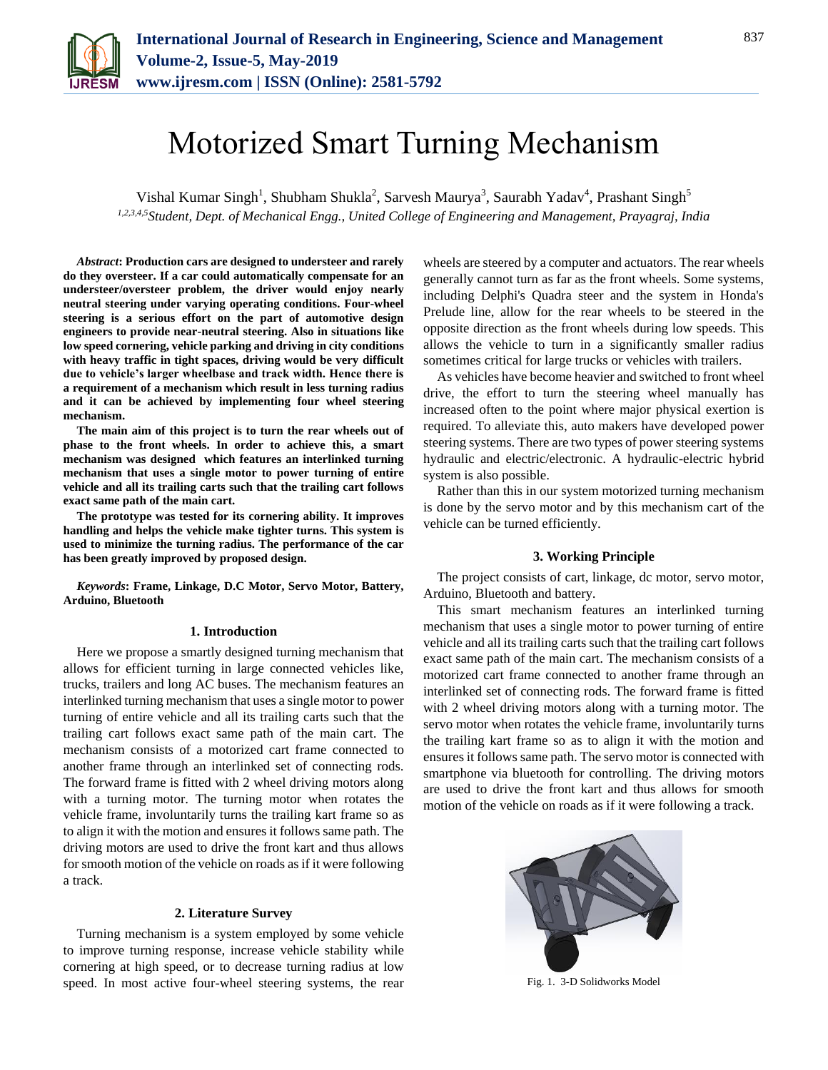# Motorized Smart Turning Mechanism

Vishal Kumar Singh<sup>1</sup>, Shubham Shukla<sup>2</sup>, Sarvesh Maurya<sup>3</sup>, Saurabh Yadav<sup>4</sup>, Prashant Singh<sup>5</sup> *1,2,3,4,5Student, Dept. of Mechanical Engg., United College of Engineering and Management, Prayagraj, India*

*Abstract***: Production cars are designed to understeer and rarely do they oversteer. If a car could automatically compensate for an understeer/oversteer problem, the driver would enjoy nearly neutral steering under varying operating conditions. Four-wheel steering is a serious effort on the part of automotive design engineers to provide near-neutral steering. Also in situations like low speed cornering, vehicle parking and driving in city conditions with heavy traffic in tight spaces, driving would be very difficult due to vehicle's larger wheelbase and track width. Hence there is a requirement of a mechanism which result in less turning radius and it can be achieved by implementing four wheel steering mechanism.**

**The main aim of this project is to turn the rear wheels out of phase to the front wheels. In order to achieve this, a smart mechanism was designed which features an interlinked turning mechanism that uses a single motor to power turning of entire vehicle and all its trailing carts such that the trailing cart follows exact same path of the main cart.**

**The prototype was tested for its cornering ability. It improves handling and helps the vehicle make tighter turns. This system is used to minimize the turning radius. The performance of the car has been greatly improved by proposed design.**

*Keywords***: Frame, Linkage, D.C Motor, Servo Motor, Battery, Arduino, Bluetooth**

#### **1. Introduction**

Here we propose a smartly designed turning mechanism that allows for efficient turning in large connected vehicles like, trucks, trailers and long AC buses. The mechanism features an interlinked turning mechanism that uses a single motor to power turning of entire vehicle and all its trailing carts such that the trailing cart follows exact same path of the main cart. The mechanism consists of a motorized cart frame connected to another frame through an interlinked set of connecting rods. The forward frame is fitted with 2 wheel driving motors along with a turning motor. The turning motor when rotates the vehicle frame, involuntarily turns the trailing kart frame so as to align it with the motion and ensures it follows same path. The driving motors are used to drive the front kart and thus allows for smooth motion of the vehicle on roads as if it were following a track.

## **2. Literature Survey**

Turning mechanism is a system employed by some vehicle to improve turning response, increase vehicle stability while cornering at high speed, or to decrease turning radius at low speed. In most active four-wheel steering systems, the rear wheels are steered by a computer and actuators. The rear wheels generally cannot turn as far as the front wheels. Some systems, including Delphi's Quadra steer and the system in Honda's Prelude line, allow for the rear wheels to be steered in the opposite direction as the front wheels during low speeds. This allows the vehicle to turn in a significantly smaller radius sometimes critical for large trucks or vehicles with trailers.

As vehicles have become heavier and switched to front wheel drive, the effort to turn the steering wheel manually has increased often to the point where major physical exertion is required. To alleviate this, auto makers have developed power steering systems. There are two types of power steering systems hydraulic and electric/electronic. A hydraulic-electric hybrid system is also possible.

Rather than this in our system motorized turning mechanism is done by the servo motor and by this mechanism cart of the vehicle can be turned efficiently.

#### **3. Working Principle**

The project consists of cart, linkage, dc motor, servo motor, Arduino, Bluetooth and battery.

This smart mechanism features an interlinked turning mechanism that uses a single motor to power turning of entire vehicle and all its trailing carts such that the trailing cart follows exact same path of the main cart. The mechanism consists of a motorized cart frame connected to another frame through an interlinked set of connecting rods. The forward frame is fitted with 2 wheel driving motors along with a turning motor. The servo motor when rotates the vehicle frame, involuntarily turns the trailing kart frame so as to align it with the motion and ensures it follows same path. The servo motor is connected with smartphone via bluetooth for controlling. The driving motors are used to drive the front kart and thus allows for smooth motion of the vehicle on roads as if it were following a track.



Fig. 1. 3-D Solidworks Model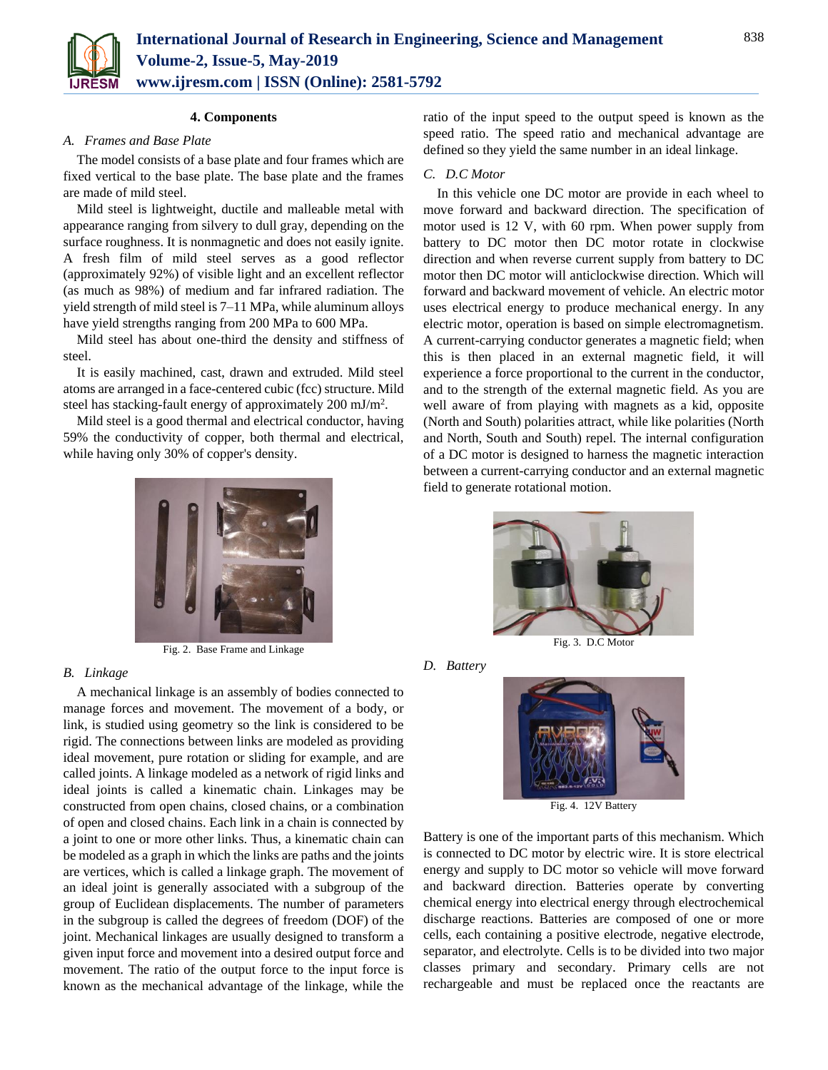

#### **4. Components**

## *A. Frames and Base Plate*

The model consists of a base plate and four frames which are fixed vertical to the base plate. The base plate and the frames are made of mild steel.

Mild steel is lightweight, ductile and malleable metal with appearance ranging from silvery to dull gray, depending on the surface roughness. It is nonmagnetic and does not easily ignite. A fresh film of mild steel serves as a good reflector (approximately 92%) of visible light and an excellent reflector (as much as 98%) of medium and far infrared radiation. The yield strength of mild steel is 7–11 MPa, while aluminum alloys have yield strengths ranging from 200 MPa to 600 MPa.

Mild steel has about one-third the density and stiffness of steel.

It is easily machined, cast, drawn and extruded. Mild steel atoms are arranged in a face-centered cubic (fcc) structure. Mild steel has stacking-fault energy of approximately 200 mJ/m<sup>2</sup>.

Mild steel is a good thermal and electrical conductor, having 59% the conductivity of copper, both thermal and electrical, while having only 30% of copper's density.



Fig. 2. Base Frame and Linkage

#### *B. Linkage*

A mechanical linkage is an assembly of bodies connected to manage forces and movement. The movement of a body, or link, is studied using geometry so the link is considered to be rigid. The connections between links are modeled as providing ideal movement, pure rotation or sliding for example, and are called joints. A linkage modeled as a network of rigid links and ideal joints is called a kinematic chain. Linkages may be constructed from open chains, closed chains, or a combination of open and closed chains. Each link in a chain is connected by a joint to one or more other links. Thus, a kinematic chain can be modeled as a graph in which the links are paths and the joints are vertices, which is called a linkage graph. The movement of an ideal joint is generally associated with a subgroup of the group of Euclidean displacements. The number of parameters in the subgroup is called the degrees of freedom (DOF) of the joint. Mechanical linkages are usually designed to transform a given input force and movement into a desired output force and movement. The ratio of the output force to the input force is known as the mechanical advantage of the linkage, while the

ratio of the input speed to the output speed is known as the speed ratio. The speed ratio and mechanical advantage are defined so they yield the same number in an ideal linkage.

#### *C. D.C Motor*

In this vehicle one DC motor are provide in each wheel to move forward and backward direction. The specification of motor used is 12 V, with 60 rpm. When power supply from battery to DC motor then DC motor rotate in clockwise direction and when reverse current supply from battery to DC motor then DC motor will anticlockwise direction. Which will forward and backward movement of vehicle. An electric motor uses [electrical energy t](http://en.wikipedia.org/wiki/Electrical_energy)o produce mechanical energy. In any electric motor, operation is based on simple electromagnetism. A current-carrying conductor generates a magnetic field; when this is then placed in an external magnetic field, it will experience a force proportional to the current in the conductor, and to the strength of the external magnetic field. As you are well aware of from playing with magnets as a kid, opposite (North and South) polarities attract, while like polarities (North and North, South and South) repel. The internal configuration of a DC motor is designed to harness the magnetic interaction between a current-carrying conductor and an external magnetic field to generate rotational motion.



*D. Battery*



Fig. 4. 12V Battery

Battery is one of the important parts of this mechanism. Which is connected to DC motor by electric wire. It is store electrical energy and supply to DC motor so vehicle will move forward and backward direction. Batteries operate by converting chemical energy into electrical energy through electrochemical discharge reactions. Batteries are composed of one or more cells, each containing a positive electrode, negative electrode, separator, and electrolyte. Cells is to be divided into two major classes primary and secondary. Primary cells are not rechargeable and must be replaced once the reactants are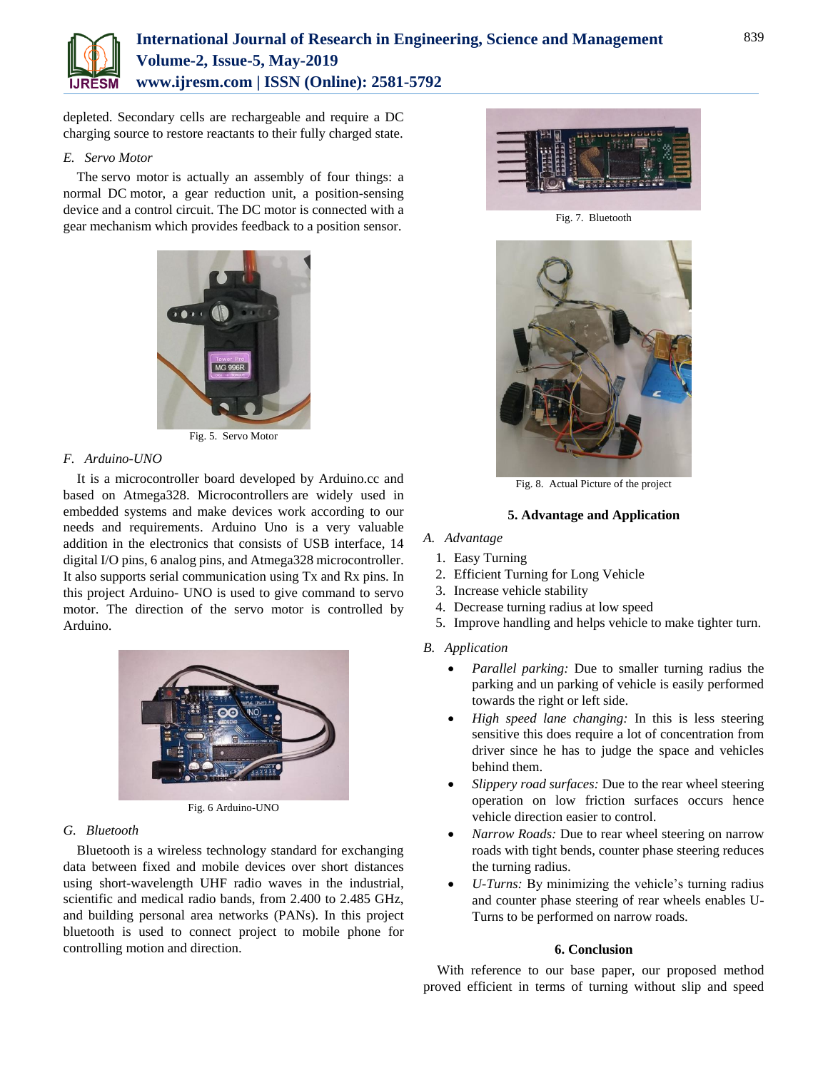

# **International Journal of Research in Engineering, Science and Management Volume-2, Issue-5, May-2019 www.ijresm.com | ISSN (Online): 2581-5792**

depleted. Secondary cells are rechargeable and require a DC charging source to restore reactants to their fully charged state.

# *E. Servo Motor*

The servo motor is actually an assembly of four things: a normal DC motor, a gear reduction unit, a position-sensing device and a control circuit. The DC motor is connected with a gear mechanism which provides feedback to a position sensor.



Fig. 5. Servo Motor

# *F. Arduino-UNO*

It is a microcontroller board developed by Arduino.cc and based on Atmega328. Microcontrollers are widely used in embedded systems and make devices work according to our needs and requirements. Arduino Uno is a very valuable addition in the electronics that consists of USB interface, 14 digital I/O pins, 6 analog pins, and Atmega328 microcontroller. It also supports serial communication using Tx and Rx pins. In this project Arduino- UNO is used to give command to servo motor. The direction of the servo motor is controlled by Arduino.



Fig. 6 Arduino-UNO

#### *G. Bluetooth*

Bluetooth is a wireless technology standard for exchanging data between fixed and mobile devices over short distances using short-wavelength UHF radio waves in the industrial, scientific and medical radio bands, from 2.400 to 2.485 GHz, and building personal area networks (PANs). In this project bluetooth is used to connect project to mobile phone for controlling motion and direction.



Fig. 7. Bluetooth



Fig. 8. Actual Picture of the project

#### **5. Advantage and Application**

# *A. Advantage*

- 1. Easy Turning
- 2. Efficient Turning for Long Vehicle
- 3. Increase vehicle stability
- 4. Decrease turning radius at low speed
- 5. Improve handling and helps vehicle to make tighter turn.
- *B. Application*
	- *Parallel parking:* Due to smaller turning radius the parking and un parking of vehicle is easily performed towards the right or left side.
	- *High speed lane changing:* In this is less steering sensitive this does require a lot of concentration from driver since he has to judge the space and vehicles behind them.
	- *Slippery road surfaces:* Due to the rear wheel steering operation on low friction surfaces occurs hence vehicle direction easier to control.
	- *Narrow Roads:* Due to rear wheel steering on narrow roads with tight bends, counter phase steering reduces the turning radius.
	- *U-Turns:* By minimizing the vehicle's turning radius and counter phase steering of rear wheels enables U-Turns to be performed on narrow roads.

# **6. Conclusion**

With reference to our base paper, our proposed method proved efficient in terms of turning without slip and speed